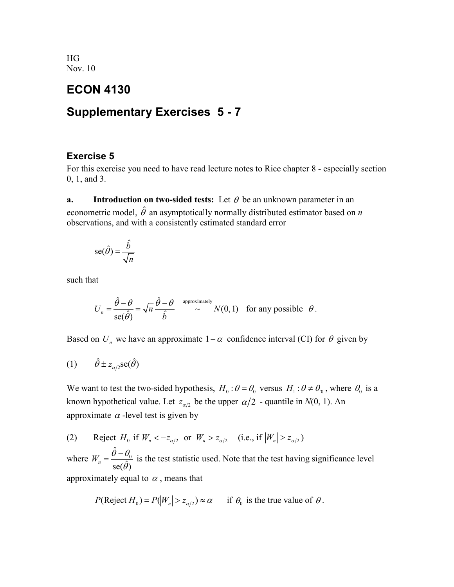HG Nov. 10

## **ECON 4130**

# **Supplementary Exercises 5 - 7**

#### **Exercise 5**

For this exercise you need to have read lecture notes to Rice chapter 8 - especially section 0, 1, and 3.

**a. Introduction on two-sided tests:** Let  $\theta$  be an unknown parameter in an econometric model,  $\hat{\theta}$  an asymptotically normally distributed estimator based on *n* observations, and with a consistently estimated standard error

$$
\operatorname{se}(\hat{\theta}) = \frac{\hat{b}}{\sqrt{n}}
$$

such that

$$
U_n = \frac{\hat{\theta} - \theta}{\text{se}(\hat{\theta})} = \sqrt{n} \frac{\hat{\theta} - \theta}{\hat{b}} \xrightarrow{\text{ approximately}} N(0, 1) \text{ for any possible } \theta.
$$

Based on  $U_n$  we have an approximate  $1-\alpha$  confidence interval (CI) for  $\theta$  given by

$$
(1) \qquad \hat{\theta} \pm z_{\alpha/2} \text{se}(\hat{\theta})
$$

We want to test the two-sided hypothesis,  $H_0 : \theta = \theta_0$  versus  $H_1 : \theta \neq \theta_0$ , where  $\theta_0$  is a known hypothetical value. Let  $z_{\alpha/2}$  be the upper  $\alpha/2$  - quantile in  $N(0, 1)$ . An approximate  $\alpha$  -level test is given by

(2) Reject 
$$
H_0
$$
 if  $W_n < -z_{\alpha/2}$  or  $W_n > z_{\alpha/2}$  (i.e., if  $|W_n| > z_{\alpha/2}$ )

where  $W_n = \frac{\hat{\theta} - \theta_0}{\hat{\theta}}$  $W_n = \frac{\theta - \theta_0}{\text{se}(\hat{\theta})}$  $=\frac{\hat{\theta}-\theta_0}{se(\hat{\theta})}$  is the test statistic used. Note that the test having significance level approximately equal to  $\alpha$ , means that

$$
P(\text{Reject } H_0) = P(|W_n| > z_{\alpha/2}) \approx \alpha
$$
 if  $\theta_0$  is the true value of  $\theta$ .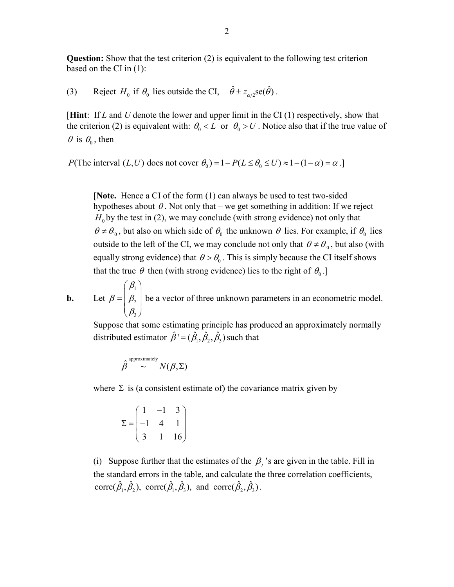**Question:** Show that the test criterion (2) is equivalent to the following test criterion based on the CI in (1):

(3) Reject  $H_0$  if  $\theta_0$  lies outside the CI,  $\hat{\theta} \pm z_{\alpha/2}$ se( $\hat{\theta}$ ).

[**Hint**: If *L* and *U* denote the lower and upper limit in the CI (1) respectively, show that the criterion (2) is equivalent with:  $\theta_0 < L$  or  $\theta_0 > U$ . Notice also that if the true value of  $\theta$  is  $\theta_0$ , then

*P*(The interval  $(L, U)$  does not cover  $\theta_0$ ) = 1 –  $P(L \le \theta_0 \le U) \approx 1 - (1 - \alpha) = \alpha$ .]

[**Note.** Hence a CI of the form (1) can always be used to test two-sided hypotheses about  $\theta$ . Not only that – we get something in addition: If we reject  $H_0$  by the test in (2), we may conclude (with strong evidence) not only that  $\theta \neq \theta_0$ , but also on which side of  $\theta_0$  the unknown  $\theta$  lies. For example, if  $\theta_0$  lies outside to the left of the CI, we may conclude not only that  $\theta \neq \theta_0$ , but also (with equally strong evidence) that  $\theta > \theta_0$ . This is simply because the CI itself shows that the true  $\theta$  then (with strong evidence) lies to the right of  $\theta_0$ .]

**b.** Let 1 2 3  $\beta_{\scriptscriptstyle 1}$  $\beta = \vert \beta$  $=\begin{pmatrix} \beta_1 \ \beta_2 \ \beta_3 \end{pmatrix}$ be a vector of three unknown parameters in an econometric model.

Suppose that some estimating principle has produced an approximately normally distributed estimator  $\hat{\beta}$ ' =  $(\hat{\beta}_1, \hat{\beta}_2, \hat{\beta}_3)$  such that

$$
\hat{\beta}^{\text{approximately}} \sim N(\beta, \Sigma)
$$

where  $\Sigma$  is (a consistent estimate of) the covariance matrix given by

$$
\Sigma = \begin{pmatrix} 1 & -1 & 3 \\ -1 & 4 & 1 \\ 3 & 1 & 16 \end{pmatrix}
$$

(i) Suppose further that the estimates of the  $\beta$  *j* 's are given in the table. Fill in the standard errors in the table, and calculate the three correlation coefficients, corre( $\hat{\beta}_1, \hat{\beta}_2$ ), corre( $\hat{\beta}_1, \hat{\beta}_3$ ), and corre( $\hat{\beta}_2, \hat{\beta}_3$ ).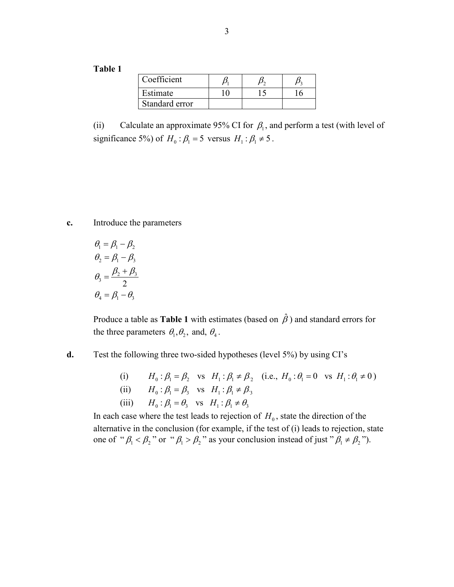**Table 1**

| Coefficient    |  |  |
|----------------|--|--|
| Estimate       |  |  |
| Standard error |  |  |

(ii) Calculate an approximate 95% CI for  $\beta_1$ , and perform a test (with level of significance 5%) of  $H_0$ :  $\beta_1 = 5$  versus  $H_1$ :  $\beta_1 \neq 5$ .

**c.** Introduce the parameters

$$
\theta_1 = \beta_1 - \beta_2
$$
  
\n
$$
\theta_2 = \beta_1 - \beta_3
$$
  
\n
$$
\theta_3 = \frac{\beta_2 + \beta_3}{2}
$$
  
\n
$$
\theta_4 = \beta_1 - \theta_3
$$

Produce a table as **Table 1** with estimates (based on  $\hat{\beta}$ ) and standard errors for the three parameters  $\theta_1, \theta_2$ , and,  $\theta_4$ .

**d.** Test the following three two-sided hypotheses (level 5%) by using CI's

(i)  $H_0: \beta_1 = \beta$ , vs  $H_1: \beta_1 \neq \beta$ , (i.e.,  $H_0: \theta_1 = 0$  vs  $H_1: \theta_1 \neq 0$ ) (ii)  $H_0: \beta_1 = \beta_3$  vs  $H_1: \beta_1 \neq \beta_3$ (iii)  $H_0: \beta_1 = \theta_3$  vs  $H_1: \beta_1 \neq \theta_3$ 

In each case where the test leads to rejection of  $H_0$ , state the direction of the alternative in the conclusion (for example, if the test of (i) leads to rejection, state one of " $\beta_1 < \beta_2$ " or " $\beta_1 > \beta_2$ " as your conclusion instead of just " $\beta_1 \neq \beta_2$ ").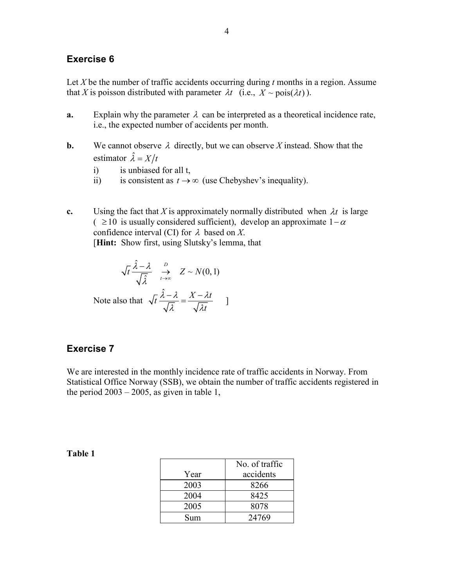#### **Exercise 6**

Let *X* be the number of traffic accidents occurring during *t* months in a region. Assume that *X* is poisson distributed with parameter  $\lambda t$  (i.e.,  $X \sim \text{pois}(\lambda t)$ ).

- **a.** Explain why the parameter  $\lambda$  can be interpreted as a theoretical incidence rate, i.e., the expected number of accidents per month.
- **b.** We cannot observe  $\lambda$  directly, but we can observe X instead. Show that the estimator  $\hat{\lambda} = X/t$ 
	- i) is unbiased for all t,
	- ii) is consistent as  $t \to \infty$  (use Chebyshev's inequality).
- **c.** Using the fact that *X* is approximately normally distributed when  $\lambda t$  is large  $( ≥ 10$  is usually considered sufficient), develop an approximate  $1-α$ confidence interval (CI) for λ based on *X*. [**Hint:** Show first, using Slutsky's lemma, that

$$
\sqrt{t} \frac{\hat{\lambda} - \lambda}{\sqrt{\hat{\lambda}}} \xrightarrow[t \to \infty]{D} Z \sim N(0, 1)
$$
  
Note also that  $\sqrt{t} \frac{\hat{\lambda} - \lambda}{\sqrt{\lambda}} = \frac{X - \lambda t}{\sqrt{\lambda t}}$ 

### **Exercise 7**

We are interested in the monthly incidence rate of traffic accidents in Norway. From Statistical Office Norway (SSB), we obtain the number of traffic accidents registered in the period  $2003 - 2005$ , as given in table 1,

|      | No. of traffic |
|------|----------------|
| Year | accidents      |
| 2003 | 8266           |
| 2004 | 8425           |
| 2005 | 8078           |
| Sum  | 24769          |

#### **Table 1**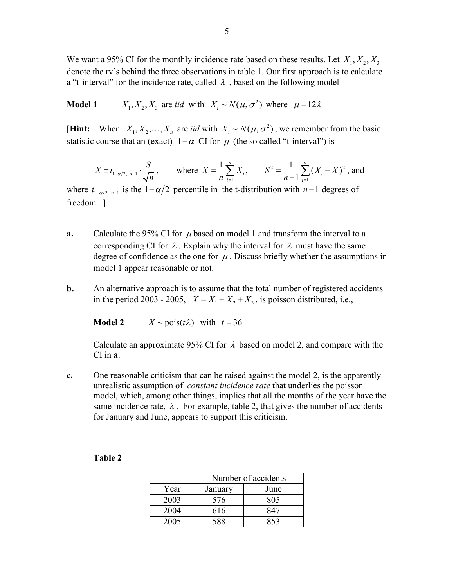We want a 95% CI for the monthly incidence rate based on these results. Let  $X_1, X_2, X_3$ denote the rv's behind the three observations in table 1. Our first approach is to calculate a "t-interval" for the incidence rate, called  $\lambda$ , based on the following model

**Model 1**  $X_1, X_2, X_3$  are *iid* with  $X_i \sim N(\mu, \sigma^2)$  where  $\mu = 12\lambda$ 

[**Hint:** When  $X_1, X_2, ..., X_n$  are *iid* with  $X_i \sim N(\mu, \sigma^2)$ , we remember from the basic statistic course that an (exact)  $1-\alpha$  CI for  $\mu$  (the so called "t-interval") is

$$
\overline{X} \pm t_{1-\alpha/2, n-1} \cdot \frac{S}{\sqrt{n}}
$$
, where  $\overline{X} = \frac{1}{n} \sum_{i=1}^{n} X_i$ ,  $S^2 = \frac{1}{n-1} \sum_{i=1}^{n} (X_i - \overline{X})^2$ , and

where  $t_{1-\alpha/2, n-1}$  is the  $1-\alpha/2$  percentile in the t-distribution with  $n-1$  degrees of freedom. ]

- **a.** Calculate the 95% CI for  $\mu$  based on model 1 and transform the interval to a corresponding CI for  $\lambda$ . Explain why the interval for  $\lambda$  must have the same degree of confidence as the one for  $\mu$ . Discuss briefly whether the assumptions in model 1 appear reasonable or not.
- **b.** An alternative approach is to assume that the total number of registered accidents in the period 2003 - 2005,  $X = X_1 + X_2 + X_3$ , is poisson distributed, i.e.,

**Model 2**  $X \sim \text{pois}(t\lambda)$  with  $t = 36$ 

Calculate an approximate 95% CI for  $\lambda$  based on model 2, and compare with the CI in **a**.

**c.** One reasonable criticism that can be raised against the model 2, is the apparently unrealistic assumption of *constant incidence rate* that underlies the poisson model, which, among other things, implies that all the months of the year have the same incidence rate,  $\lambda$ . For example, table 2, that gives the number of accidents for January and June, appears to support this criticism.

|      | Number of accidents |      |  |
|------|---------------------|------|--|
| Year | January             | June |  |
| 2003 | 576                 | 805  |  |
| 2004 | 616                 | R41  |  |
| 2005 | 588                 | 253  |  |

| anı<br>16 |  |
|-----------|--|
|-----------|--|